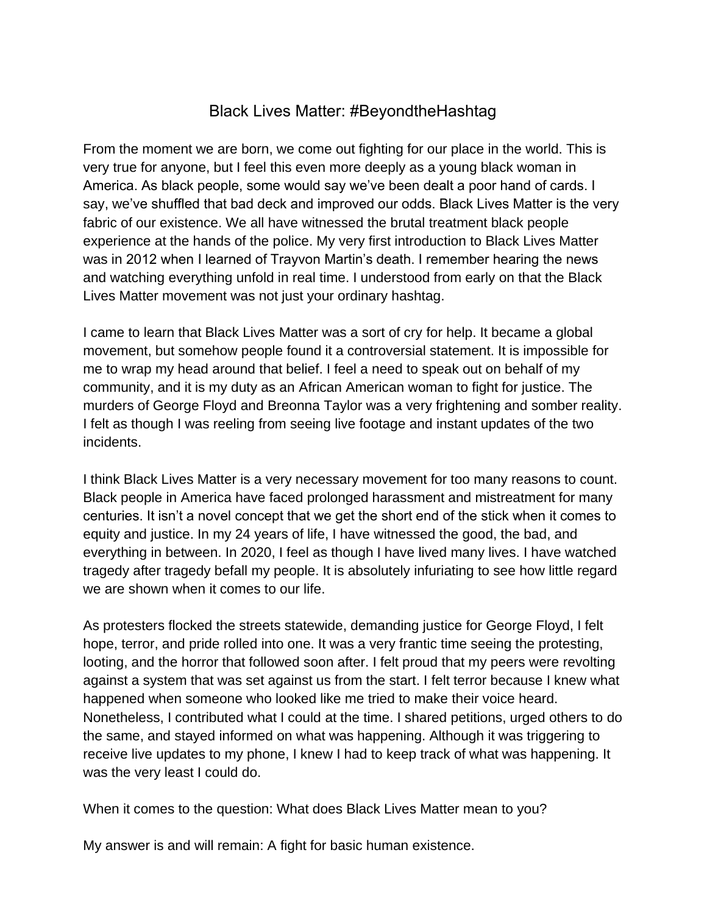## Black Lives Matter: #BeyondtheHashtag

From the moment we are born, we come out fighting for our place in the world. This is very true for anyone, but I feel this even more deeply as a young black woman in America. As black people, some would say we've been dealt a poor hand of cards. I say, we've shuffled that bad deck and improved our odds. Black Lives Matter is the very fabric of our existence. We all have witnessed the brutal treatment black people experience at the hands of the police. My very first introduction to Black Lives Matter was in 2012 when I learned of Trayvon Martin's death. I remember hearing the news and watching everything unfold in real time. I understood from early on that the Black Lives Matter movement was not just your ordinary hashtag.

I came to learn that Black Lives Matter was a sort of cry for help. It became a global movement, but somehow people found it a controversial statement. It is impossible for me to wrap my head around that belief. I feel a need to speak out on behalf of my community, and it is my duty as an African American woman to fight for justice. The murders of George Floyd and Breonna Taylor was a very frightening and somber reality. I felt as though I was reeling from seeing live footage and instant updates of the two incidents.

I think Black Lives Matter is a very necessary movement for too many reasons to count. Black people in America have faced prolonged harassment and mistreatment for many centuries. It isn't a novel concept that we get the short end of the stick when it comes to equity and justice. In my 24 years of life, I have witnessed the good, the bad, and everything in between. In 2020, I feel as though I have lived many lives. I have watched tragedy after tragedy befall my people. It is absolutely infuriating to see how little regard we are shown when it comes to our life.

As protesters flocked the streets statewide, demanding justice for George Floyd, I felt hope, terror, and pride rolled into one. It was a very frantic time seeing the protesting, looting, and the horror that followed soon after. I felt proud that my peers were revolting against a system that was set against us from the start. I felt terror because I knew what happened when someone who looked like me tried to make their voice heard. Nonetheless, I contributed what I could at the time. I shared petitions, urged others to do the same, and stayed informed on what was happening. Although it was triggering to receive live updates to my phone, I knew I had to keep track of what was happening. It was the very least I could do.

When it comes to the question: What does Black Lives Matter mean to you?

My answer is and will remain: A fight for basic human existence.